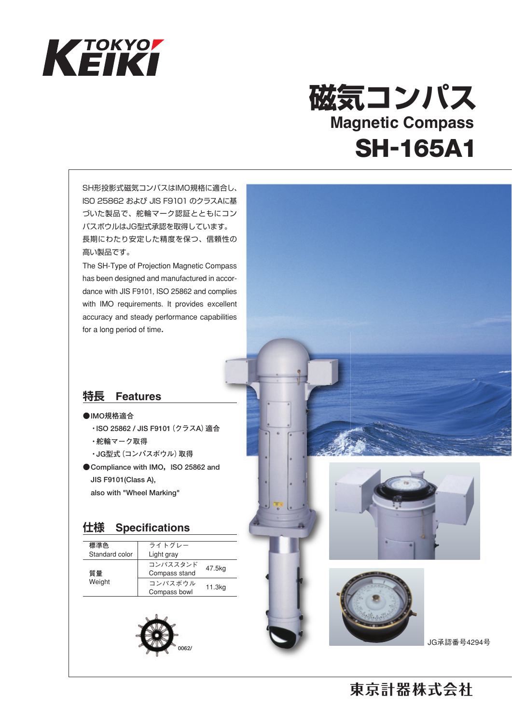

## **磁気コンパス** SH-165A1 **Magnetic Compass**

SH形投影式磁気コンパスはIMO規格に適合し、 ISO 25862 および JIS F9101 のクラスAに基 づいた製品で、舵輪マーク認証とともにコン パスボウルはJG型式承認を取得しています。 長期にわたり安定した精度を保つ、信頼性の 高い製品です。

The SH-Type of Projection Magnetic Compass has been designed and manufactured in accordance with JIS F9101, ISO 25862 and complies with IMO requirements. It provides excellent accuracy and steady performance capabilities for a long period of time.

## **特長 Features**

### **● lMO規格適合**

- **・lSO 25862 / JIS F9101(クラスA)適合**
- **・舵輪マーク取得**
- **・JG型式(コンパスボウル)取得**
- Compliance with IMO, ISO 25862 and  **JIS F9101(Class A), also with "Wheel Marking"**

## **仕様 Specifications**

| 標準色<br>Standard color | ライトグレー<br>Light gray      |        |
|-----------------------|---------------------------|--------|
| 質量<br>Weight          | コンパススタンド<br>Compass stand | 47.5kg |
|                       | コンパスボウル<br>Compass bowl   | 11.3kg |